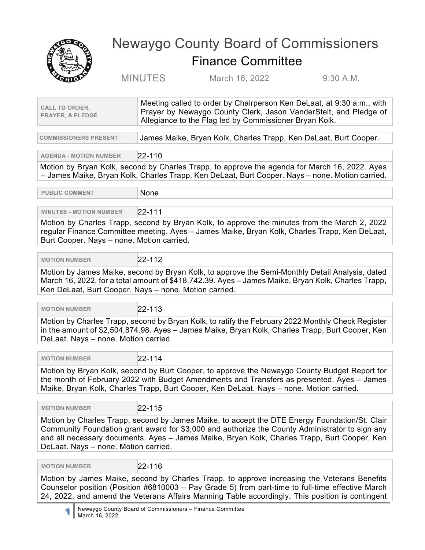

## Newaygo County Board of Commissioners Finance Committee

MINUTES March 16, 2022 9:30 A.M.

| <b>CALL TO ORDER,</b><br><b>PRAYER, &amp; PLEDGE</b>                                                                                                                                                                                                                                                                                     | Meeting called to order by Chairperson Ken DeLaat, at 9:30 a.m., with<br>Prayer by Newaygo County Clerk, Jason VanderStelt, and Pledge of<br>Allegiance to the Flag led by Commissioner Bryan Kolk. |  |
|------------------------------------------------------------------------------------------------------------------------------------------------------------------------------------------------------------------------------------------------------------------------------------------------------------------------------------------|-----------------------------------------------------------------------------------------------------------------------------------------------------------------------------------------------------|--|
| <b>COMMISSIONERS PRESENT</b>                                                                                                                                                                                                                                                                                                             | James Maike, Bryan Kolk, Charles Trapp, Ken DeLaat, Burt Cooper.                                                                                                                                    |  |
| <b>AGENDA - MOTION NUMBER</b>                                                                                                                                                                                                                                                                                                            | $22 - 110$                                                                                                                                                                                          |  |
| Motion by Bryan Kolk, second by Charles Trapp, to approve the agenda for March 16, 2022. Ayes<br>- James Maike, Bryan Kolk, Charles Trapp, Ken DeLaat, Burt Cooper. Nays - none. Motion carried.                                                                                                                                         |                                                                                                                                                                                                     |  |
| <b>PUBLIC COMMENT</b>                                                                                                                                                                                                                                                                                                                    | None                                                                                                                                                                                                |  |
| <b>MINUTES - MOTION NUMBER</b>                                                                                                                                                                                                                                                                                                           | 22-111                                                                                                                                                                                              |  |
| Motion by Charles Trapp, second by Bryan Kolk, to approve the minutes from the March 2, 2022<br>regular Finance Committee meeting. Ayes - James Maike, Bryan Kolk, Charles Trapp, Ken DeLaat,<br>Burt Cooper. Nays - none. Motion carried.                                                                                               |                                                                                                                                                                                                     |  |
| <b>MOTION NUMBER</b>                                                                                                                                                                                                                                                                                                                     | $22 - 112$                                                                                                                                                                                          |  |
| Motion by James Maike, second by Bryan Kolk, to approve the Semi-Monthly Detail Analysis, dated<br>March 16, 2022, for a total amount of \$418,742.39. Ayes - James Maike, Bryan Kolk, Charles Trapp,<br>Ken DeLaat, Burt Cooper. Nays - none. Motion carried.                                                                           |                                                                                                                                                                                                     |  |
| <b>MOTION NUMBER</b>                                                                                                                                                                                                                                                                                                                     | $22 - 113$                                                                                                                                                                                          |  |
| Motion by Charles Trapp, second by Bryan Kolk, to ratify the February 2022 Monthly Check Register<br>in the amount of \$2,504,874.98. Ayes - James Maike, Bryan Kolk, Charles Trapp, Burt Cooper, Ken<br>DeLaat. Nays - none. Motion carried.                                                                                            |                                                                                                                                                                                                     |  |
| <b>MOTION NUMBER</b>                                                                                                                                                                                                                                                                                                                     | $22 - 114$                                                                                                                                                                                          |  |
| Motion by Bryan Kolk, second by Burt Cooper, to approve the Newaygo County Budget Report for<br>the month of February 2022 with Budget Amendments and Transfers as presented. Ayes - James<br>Maike, Bryan Kolk, Charles Trapp, Burt Cooper, Ken DeLaat. Nays - none. Motion carried.                                                    |                                                                                                                                                                                                     |  |
| <b>MOTION NUMBER</b>                                                                                                                                                                                                                                                                                                                     | 22-115                                                                                                                                                                                              |  |
| Motion by Charles Trapp, second by James Maike, to accept the DTE Energy Foundation/St. Clair<br>Community Foundation grant award for \$3,000 and authorize the County Administrator to sign any<br>and all necessary documents. Ayes - James Maike, Bryan Kolk, Charles Trapp, Burt Cooper, Ken<br>DeLaat. Nays - none. Motion carried. |                                                                                                                                                                                                     |  |
| <b>MOTION NUMBER</b>                                                                                                                                                                                                                                                                                                                     | 22-116                                                                                                                                                                                              |  |
| Motion by James Maike, second by Charles Trapp, to approve increasing the Veterans Benefits<br>Counselor position (Position #6810003 – Pay Grade 5) from part-time to full-time effective March<br>24, 2022, and amend the Veterans Affairs Manning Table accordingly. This position is contingent                                       |                                                                                                                                                                                                     |  |
| Newaygo County Board of Commissioners - Finance Committee<br>1<br>March 16, 2022                                                                                                                                                                                                                                                         |                                                                                                                                                                                                     |  |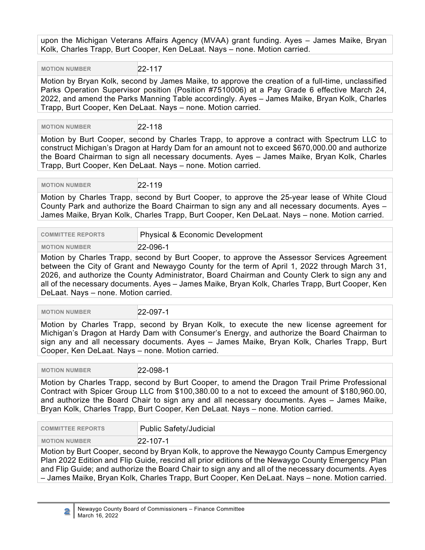upon the Michigan Veterans Affairs Agency (MVAA) grant funding. Ayes – James Maike, Bryan Kolk, Charles Trapp, Burt Cooper, Ken DeLaat. Nays – none. Motion carried.

**MOTION NUMBER** 22-117

Motion by Bryan Kolk, second by James Maike, to approve the creation of a full-time, unclassified Parks Operation Supervisor position (Position #7510006) at a Pay Grade 6 effective March 24, 2022, and amend the Parks Manning Table accordingly. Ayes – James Maike, Bryan Kolk, Charles Trapp, Burt Cooper, Ken DeLaat. Nays – none. Motion carried.

 **MOTION NUMBER** 22-118

Motion by Burt Cooper, second by Charles Trapp, to approve a contract with Spectrum LLC to construct Michigan's Dragon at Hardy Dam for an amount not to exceed \$670,000.00 and authorize the Board Chairman to sign all necessary documents. Ayes – James Maike, Bryan Kolk, Charles Trapp, Burt Cooper, Ken DeLaat. Nays – none. Motion carried.

 **MOTION NUMBER** 22-119

Motion by Charles Trapp, second by Burt Cooper, to approve the 25-year lease of White Cloud County Park and authorize the Board Chairman to sign any and all necessary documents. Ayes – James Maike, Bryan Kolk, Charles Trapp, Burt Cooper, Ken DeLaat. Nays – none. Motion carried.

| <b>COMMITTEE REPORTS</b> | Physical & Economic Development |
|--------------------------|---------------------------------|
| <b>MOTION NUMBER</b>     | 22-096-1                        |

Motion by Charles Trapp, second by Burt Cooper, to approve the Assessor Services Agreement between the City of Grant and Newaygo County for the term of April 1, 2022 through March 31, 2026, and authorize the County Administrator, Board Chairman and County Clerk to sign any and all of the necessary documents. Ayes – James Maike, Bryan Kolk, Charles Trapp, Burt Cooper, Ken DeLaat. Nays – none. Motion carried.

 **MOTION NUMBER** 22-097-1

Motion by Charles Trapp, second by Bryan Kolk, to execute the new license agreement for Michigan's Dragon at Hardy Dam with Consumer's Energy, and authorize the Board Chairman to sign any and all necessary documents. Ayes – James Maike, Bryan Kolk, Charles Trapp, Burt Cooper, Ken DeLaat. Nays – none. Motion carried.

 **MOTION NUMBER** 22-098-1

Motion by Charles Trapp, second by Burt Cooper, to amend the Dragon Trail Prime Professional Contract with Spicer Group LLC from \$100,380.00 to a not to exceed the amount of \$180,960.00, and authorize the Board Chair to sign any and all necessary documents. Ayes – James Maike, Bryan Kolk, Charles Trapp, Burt Cooper, Ken DeLaat. Nays – none. Motion carried.

| <b>COMMITTEE REPORTS</b>                                                                      | Public Safety/Judicial |
|-----------------------------------------------------------------------------------------------|------------------------|
| <b>MOTION NUMBER</b>                                                                          | $22 - 107 - 1$         |
| - Motion by Burt Cooper, second by Bryan Kolk, to approve the Newaygo County Campus Emergency |                        |

by Bryan Kolk, to approve the Newaygo County Campus I Plan 2022 Edition and Flip Guide, rescind all prior editions of the Newaygo County Emergency Plan and Flip Guide; and authorize the Board Chair to sign any and all of the necessary documents. Ayes – James Maike, Bryan Kolk, Charles Trapp, Burt Cooper, Ken DeLaat. Nays – none. Motion carried.